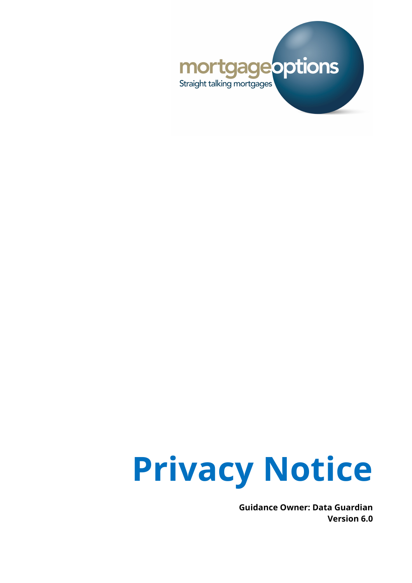



**Guidance Owner: Data Guardian Version 6.0**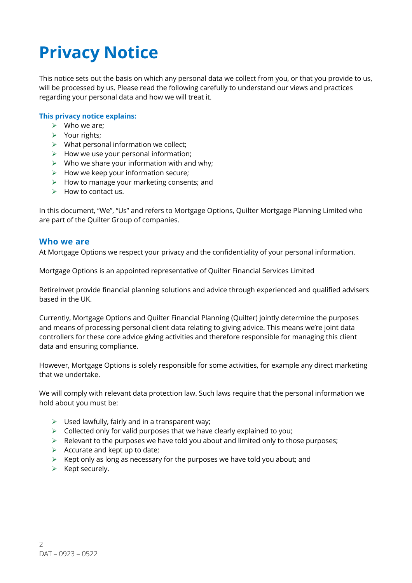# **Privacy Notice**

This notice sets out the basis on which any personal data we collect from you, or that you provide to us, will be processed by us. Please read the following carefully to understand our views and practices regarding your personal data and how we will treat it.

#### **This privacy notice explains:**

- $\triangleright$  Who we are:
- $\triangleright$  Your rights;
- $\triangleright$  What personal information we collect;
- $\triangleright$  How we use your personal information;
- $\triangleright$  Who we share your information with and why:
- $\triangleright$  How we keep your information secure;
- $\triangleright$  How to manage your marketing consents; and
- $\blacktriangleright$  How to contact us.

In this document, "We", "Us" and refers to Mortgage Options, Quilter Mortgage Planning Limited who are part of the Quilter Group of companies.

#### **Who we are**

At Mortgage Options we respect your privacy and the confidentiality of your personal information.

Mortgage Options is an appointed representative of Quilter Financial Services Limited

RetireInvet provide financial planning solutions and advice through experienced and qualified advisers based in the UK.

Currently, Mortgage Options and Quilter Financial Planning (Quilter) jointly determine the purposes and means of processing personal client data relating to giving advice. This means we're joint data controllers for these core advice giving activities and therefore responsible for managing this client data and ensuring compliance.

However, Mortgage Options is solely responsible for some activities, for example any direct marketing that we undertake.

We will comply with relevant data protection law. Such laws require that the personal information we hold about you must be:

- $\triangleright$  Used lawfully, fairly and in a transparent way;
- $\triangleright$  Collected only for valid purposes that we have clearly explained to you:
- $\triangleright$  Relevant to the purposes we have told you about and limited only to those purposes;
- $\triangleright$  Accurate and kept up to date;
- $\triangleright$  Kept only as long as necessary for the purposes we have told you about; and
- $\triangleright$  Kept securely.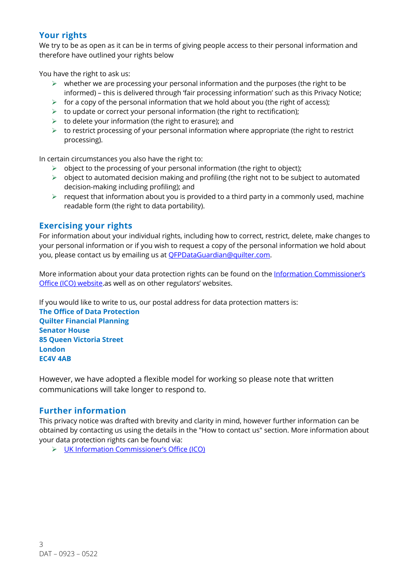## **Your rights**

We try to be as open as it can be in terms of giving people access to their personal information and therefore have outlined your rights below

You have the right to ask us:

- $\triangleright$  whether we are processing your personal information and the purposes (the right to be informed) – this is delivered through 'fair processing information' such as this Privacy Notice;
- $\triangleright$  for a copy of the personal information that we hold about you (the right of access);
- $\triangleright$  to update or correct your personal information (the right to rectification);
- $\triangleright$  to delete your information (the right to erasure); and
- $\triangleright$  to restrict processing of your personal information where appropriate (the right to restrict processing).

In certain circumstances you also have the right to:

- $\triangleright$  object to the processing of your personal information (the right to object);
- $\triangleright$  object to automated decision making and profiling (the right not to be subject to automated decision-making including profiling); and
- $\triangleright$  request that information about you is provided to a third party in a commonly used, machine readable form (the right to data portability).

## **Exercising your rights**

For information about your individual rights, including how to correct, restrict, delete, make changes to your personal information or if you wish to request a copy of the personal information we hold about you, please contact us by emailing us at QFPDataGuardian@quilter.com.

More information about your data protection rights can be found on the Information Commissioner's Office (ICO) website</u>.as well as on other regulators' websites.

If you would like to write to us, our postal address for data protection matters is:

**The Office of Data Protection Quilter Financial Planning Senator House 85 Queen Victoria Street London EC4V 4AB**

However, we have adopted a flexible model for working so please note that written communications will take longer to respond to.

#### **Further information**

This privacy notice was drafted with brevity and clarity in mind, however further information can be obtained by contacting us using the details in the "How to contact us" section. More information about your data protection rights can be found via:

Ø UK Information Commissioner's Office (ICO)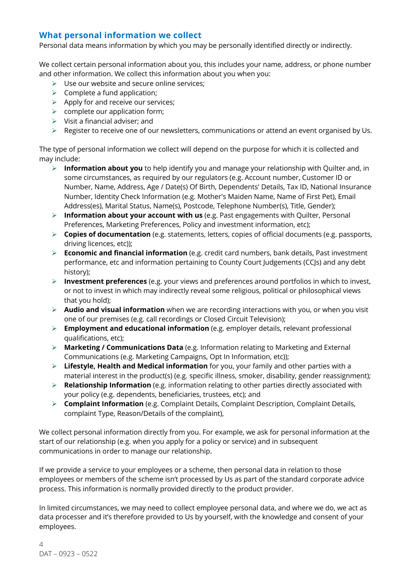## **What personal information we collect**

Personal data means information by which you may be personally identified directly or indirectly.

We collect certain personal information about you, this includes your name, address, or phone number and other information. We collect this information about you when you:

- $\triangleright$  Use our website and secure online services:
- $\triangleright$  Complete a fund application;
- $\triangleright$  Apply for and receive our services;
- $\triangleright$  complete our application form;
- $\triangleright$  Visit a financial adviser; and
- $\triangleright$  Register to receive one of our newsletters, communications or attend an event organised by Us.

The type of personal information we collect will depend on the purpose for which it is collected and may include:

- Ø **Information about you** to help identify you and manage your relationship with Quilter and, in some circumstances, as required by our regulators (e.g. Account number, Customer ID or Number, Name, Address, Age / Date(s) Of Birth, Dependents' Details, Tax ID, National Insurance Number, Identity Check Information (e.g. Mother's Maiden Name, Name of First Pet), Email Address(es), Marital Status, Name(s), Postcode, Telephone Number(s), Title, Gender);
- Ø **Information about your account with us** (e.g. Past engagements with Quilter, Personal Preferences, Marketing Preferences, Policy and investment information, etc);
- Ø **Copies of documentation** (e.g. statements, letters, copies of official documents (e.g. passports, driving licences, etc));
- Ø **Economic and financial information** (e.g. credit card numbers, bank details, Past investment performance, etc and information pertaining to County Court Judgements (CCJs) and any debt history);
- Ø **Investment preferences** (e.g. your views and preferences around portfolios in which to invest, or not to invest in which may indirectly reveal some religious, political or philosophical views that you hold);
- Ø **Audio and visual information** when we are recording interactions with you, or when you visit one of our premises (e.g. call recordings or Closed Circuit Television);
- Ø **Employment and educational information** (e.g. employer details, relevant professional qualifications, etc);
- Ø **Marketing / Communications Data** (e.g. Information relating to Marketing and External Communications (e.g. Marketing Campaigns, Opt In Information, etc));
- Ø **Lifestyle, Health and Medical information** for you, your family and other parties with a material interest in the product(s) (e.g. specific illness, smoker, disability, gender reassignment);
- Ø **Relationship Information** (e.g. information relating to other parties directly associated with your policy (e.g. dependents, beneficiaries, trustees, etc); and
- Ø **Complaint Information** (e.g. Complaint Details, Complaint Description, Complaint Details, complaint Type, Reason/Details of the complaint),

We collect personal information directly from you. For example, we ask for personal information at the start of our relationship (e.g. when you apply for a policy or service) and in subsequent communications in order to manage our relationship.

If we provide a service to your employees or a scheme, then personal data in relation to those employees or members of the scheme isn't processed by Us as part of the standard corporate advice process. This information is normally provided directly to the product provider.

In limited circumstances, we may need to collect employee personal data, and where we do, we act as data processer and it's therefore provided to Us by yourself, with the knowledge and consent of your employees.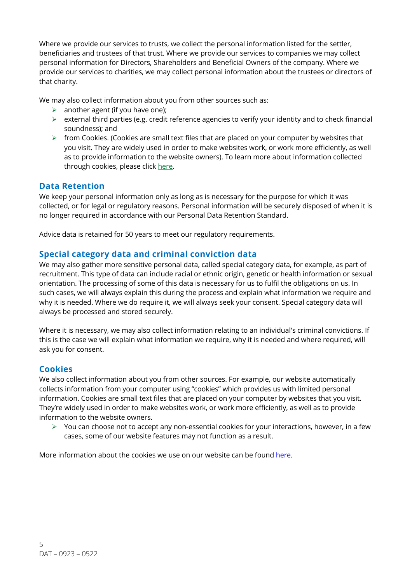Where we provide our services to trusts, we collect the personal information listed for the settler, beneficiaries and trustees of that trust. Where we provide our services to companies we may collect personal information for Directors, Shareholders and Beneficial Owners of the company. Where we provide our services to charities, we may collect personal information about the trustees or directors of that charity.

We may also collect information about you from other sources such as:

- $\triangleright$  another agent (if you have one);
- $\triangleright$  external third parties (e.g. credit reference agencies to verify your identity and to check financial soundness); and
- $\triangleright$  from Cookies. (Cookies are small text files that are placed on your computer by websites that you visit. They are widely used in order to make websites work, or work more efficiently, as well as to provide information to the website owners). To learn more about information collected through cookies, please click here.

#### **Data Retention**

We keep your personal information only as long as is necessary for the purpose for which it was collected, or for legal or regulatory reasons. Personal information will be securely disposed of when it is no longer required in accordance with our Personal Data Retention Standard.

Advice data is retained for 50 years to meet our regulatory requirements.

## **Special category data and criminal conviction data**

We may also gather more sensitive personal data, called special category data, for example, as part of recruitment. This type of data can include racial or ethnic origin, genetic or health information or sexual orientation. The processing of some of this data is necessary for us to fulfil the obligations on us. In such cases, we will always explain this during the process and explain what information we require and why it is needed. Where we do require it, we will always seek your consent. Special category data will always be processed and stored securely.

Where it is necessary, we may also collect information relating to an individual's criminal convictions. If this is the case we will explain what information we require, why it is needed and where required, will ask you for consent.

## **Cookies**

We also collect information about you from other sources. For example, our website automatically collects information from your computer using "cookies" which provides us with limited personal information. Cookies are small text files that are placed on your computer by websites that you visit. They're widely used in order to make websites work, or work more efficiently, as well as to provide information to the website owners.

 $\triangleright$  You can choose not to accept any non-essential cookies for your interactions, however, in a few cases, some of our website features may not function as a result.

More information about the cookies we use on our website can be found here.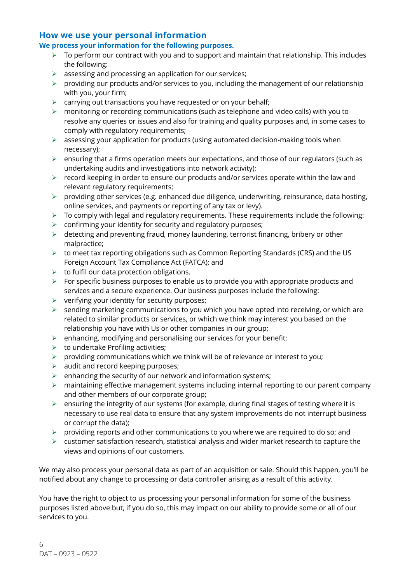#### **How we use your personal information**

#### **We process your information for the following purposes.**

- $\triangleright$  To perform our contract with you and to support and maintain that relationship. This includes the following:
- $\triangleright$  assessing and processing an application for our services;
- $\triangleright$  providing our products and/or services to you, including the management of our relationship with you, your firm;
- $\triangleright$  carrying out transactions you have requested or on your behalf;
- $\triangleright$  monitoring or recording communications (such as telephone and video calls) with you to resolve any queries or issues and also for training and quality purposes and, in some cases to comply with regulatory requirements;
- $\triangleright$  assessing your application for products (using automated decision-making tools when necessary);
- $\triangleright$  ensuring that a firms operation meets our expectations, and those of our regulators (such as undertaking audits and investigations into network activity);
- $\triangleright$  record keeping in order to ensure our products and/or services operate within the law and relevant regulatory requirements;
- $\triangleright$  providing other services (e.g. enhanced due diligence, underwriting, reinsurance, data hosting, online services, and payments or reporting of any tax or levy).
- $\triangleright$  To comply with legal and regulatory requirements. These requirements include the following:
- $\triangleright$  confirming your identity for security and regulatory purposes;
- $\triangleright$  detecting and preventing fraud, money laundering, terrorist financing, bribery or other malpractice;
- $\triangleright$  to meet tax reporting obligations such as Common Reporting Standards (CRS) and the US Foreign Account Tax Compliance Act (FATCA); and
- $\triangleright$  to fulfil our data protection obligations.
- $\triangleright$  For specific business purposes to enable us to provide you with appropriate products and services and a secure experience. Our business purposes include the following:
- $\triangleright$  verifying your identity for security purposes;
- $\triangleright$  sending marketing communications to you which you have opted into receiving, or which are related to similar products or services, or which we think may interest you based on the relationship you have with Us or other companies in our group;
- $\triangleright$  enhancing, modifying and personalising our services for your benefit;
- $\triangleright$  to undertake Profiling activities;
- $\triangleright$  providing communications which we think will be of relevance or interest to you;
- $\triangleright$  audit and record keeping purposes;
- $\triangleright$  enhancing the security of our network and information systems;
- $\triangleright$  maintaining effective management systems including internal reporting to our parent company and other members of our corporate group;
- $\triangleright$  ensuring the integrity of our systems (for example, during final stages of testing where it is necessary to use real data to ensure that any system improvements do not interrupt business or corrupt the data);
- $\triangleright$  providing reports and other communications to you where we are required to do so; and
- $\triangleright$  customer satisfaction research, statistical analysis and wider market research to capture the views and opinions of our customers.

We may also process your personal data as part of an acquisition or sale. Should this happen, you'll be notified about any change to processing or data controller arising as a result of this activity.

You have the right to object to us processing your personal information for some of the business purposes listed above but, if you do so, this may impact on our ability to provide some or all of our services to you.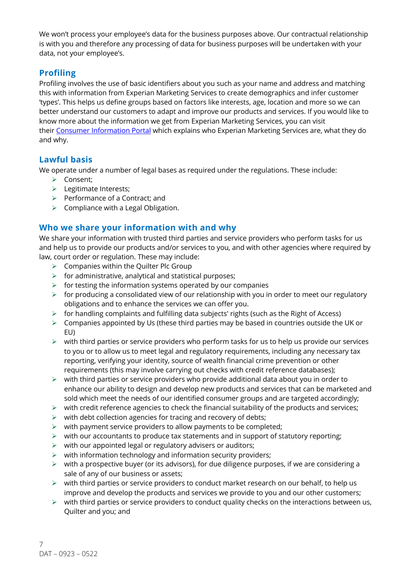We won't process your employee's data for the business purposes above. Our contractual relationship is with you and therefore any processing of data for business purposes will be undertaken with your data, not your employee's.

## **Profiling**

Profiling involves the use of basic identifiers about you such as your name and address and matching this with information from Experian Marketing Services to create demographics and infer customer 'types'. This helps us define groups based on factors like interests, age, location and more so we can better understand our customers to adapt and improve our products and services. If you would like to know more about the information we get from Experian Marketing Services, you can visit their Consumer Information Portal which explains who Experian Marketing Services are, what they do and why.

## **Lawful basis**

We operate under a number of legal bases as required under the regulations. These include:

- $\triangleright$  Consent;
- $\triangleright$  Legitimate Interests;
- $\triangleright$  Performance of a Contract; and
- $\triangleright$  Compliance with a Legal Obligation.

## **Who we share your information with and why**

We share your information with trusted third parties and service providers who perform tasks for us and help us to provide our products and/or services to you, and with other agencies where required by law, court order or regulation. These may include:

- $\triangleright$  Companies within the Quilter Plc Group
- $\triangleright$  for administrative, analytical and statistical purposes;
- $\triangleright$  for testing the information systems operated by our companies
- $\triangleright$  for producing a consolidated view of our relationship with you in order to meet our regulatory obligations and to enhance the services we can offer you.
- $\triangleright$  for handling complaints and fulfilling data subjects' rights (such as the Right of Access)
- $\triangleright$  Companies appointed by Us (these third parties may be based in countries outside the UK or EU)
- $\triangleright$  with third parties or service providers who perform tasks for us to help us provide our services to you or to allow us to meet legal and regulatory requirements, including any necessary tax reporting, verifying your identity, source of wealth financial crime prevention or other requirements (this may involve carrying out checks with credit reference databases);
- $\triangleright$  with third parties or service providers who provide additional data about you in order to enhance our ability to design and develop new products and services that can be marketed and sold which meet the needs of our identified consumer groups and are targeted accordingly;
- $\triangleright$  with credit reference agencies to check the financial suitability of the products and services;
- $\triangleright$  with debt collection agencies for tracing and recovery of debts;
- $\triangleright$  with payment service providers to allow payments to be completed;
- $\triangleright$  with our accountants to produce tax statements and in support of statutory reporting;
- $\triangleright$  with our appointed legal or regulatory advisers or auditors;
- $\triangleright$  with information technology and information security providers;
- $\triangleright$  with a prospective buyer (or its advisors), for due diligence purposes, if we are considering a sale of any of our business or assets;
- $\triangleright$  with third parties or service providers to conduct market research on our behalf, to help us improve and develop the products and services we provide to you and our other customers;
- $\triangleright$  with third parties or service providers to conduct quality checks on the interactions between us, Quilter and you; and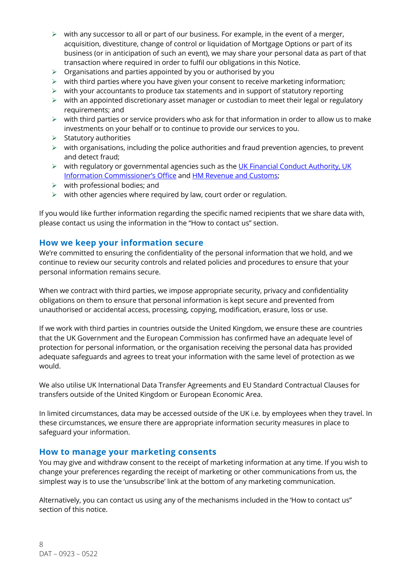- $\triangleright$  with any successor to all or part of our business. For example, in the event of a merger, acquisition, divestiture, change of control or liquidation of Mortgage Options or part of its business (or in anticipation of such an event), we may share your personal data as part of that transaction where required in order to fulfil our obligations in this Notice.
- $\triangleright$  Organisations and parties appointed by you or authorised by you
- $\triangleright$  with third parties where you have given your consent to receive marketing information;
- $\triangleright$  with your accountants to produce tax statements and in support of statutory reporting
- $\triangleright$  with an appointed discretionary asset manager or custodian to meet their legal or regulatory requirements; and
- $\triangleright$  with third parties or service providers who ask for that information in order to allow us to make investments on your behalf or to continue to provide our services to you.
- $\triangleright$  Statutory authorities
- $\triangleright$  with organisations, including the police authorities and fraud prevention agencies, to prevent and detect fraud;
- Ø with regulatory or governmental agencies such as the UK Financial Conduct Authority, UK Information Commissioner's Office and HM Revenue and Customs;
- $\triangleright$  with professional bodies; and
- $\triangleright$  with other agencies where required by law, court order or regulation.

If you would like further information regarding the specific named recipients that we share data with, please contact us using the information in the "How to contact us" section.

#### **How we keep your information secure**

We're committed to ensuring the confidentiality of the personal information that we hold, and we continue to review our security controls and related policies and procedures to ensure that your personal information remains secure.

When we contract with third parties, we impose appropriate security, privacy and confidentiality obligations on them to ensure that personal information is kept secure and prevented from unauthorised or accidental access, processing, copying, modification, erasure, loss or use.

If we work with third parties in countries outside the United Kingdom, we ensure these are countries that the UK Government and the European Commission has confirmed have an adequate level of protection for personal information, or the organisation receiving the personal data has provided adequate safeguards and agrees to treat your information with the same level of protection as we would.

We also utilise UK International Data Transfer Agreements and EU Standard Contractual Clauses for transfers outside of the United Kingdom or European Economic Area.

In limited circumstances, data may be accessed outside of the UK i.e. by employees when they travel. In these circumstances, we ensure there are appropriate information security measures in place to safeguard your information.

#### **How to manage your marketing consents**

You may give and withdraw consent to the receipt of marketing information at any time. If you wish to change your preferences regarding the receipt of marketing or other communications from us, the simplest way is to use the 'unsubscribe' link at the bottom of any marketing communication.

Alternatively, you can contact us using any of the mechanisms included in the 'How to contact us" section of this notice.